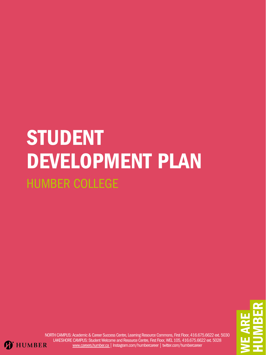E**KIZ** REH $\Box$ Mm ER

NORTH CAMPUS: Academic & Career Success Centre, Learning Resource Commons, First Floor, 416.675.6622 ext. 5030 LAKESHORE CAMPUS: Student Welcome and Resource Centre, First Floor, WEL 105, 416.675.6622 ext. 5028 **T** HUMBER [www.careers.humber.ca](http://careers.humber.ca/) | Instagram.com/humbercareer | twitter.com/humbercareer

# STUDENT DEVELOPMENT PLAN HUMBER COLLEGE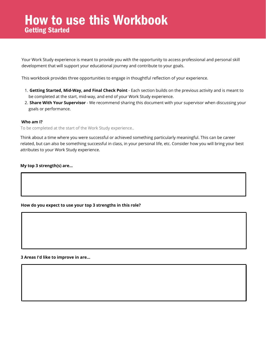#### **Who am I?**

To be completed at the start of the Work Study experience..

Think about a time where you were successful or achieved something particularly meaningful. This can be career related, but can also be something successful in class, in your personal life, etc. Consider how you will bring your best attributes to your Work Study experience.

#### **My top 3 strength(s) are...**

### How to use this Workbook Getting Started

- **Getting Started, Mid-Way, and Final Check Point** Each section builds on the previous activity and is meant to 1. be completed at the start, mid-way, and end of your Work Study experience.
- **Share With Your Supervisor** We recommend sharing this document with your supervisor when discussing your 2. goals or performance.

Your Work Study experience is meant to provide you with the opportunity to access professional and personal skill development that will support your educational journey and contribute to your goals.

This workbook provides three opportunities to engage in thoughtful reflection of your experience.

**How do you expect to use your top 3 strengths in this role?**

**3 Areas I'd like to improve in are...**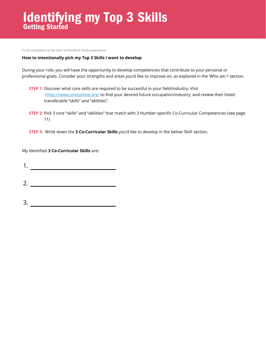My Identified **3 Co-Curricular Skills** are**:**

1.

To be completed at the start of the Work Study experience.

#### **How to intentionally pick my Top 3 Skills I want to develop:**

### Identifying my Top 3 Skills Getting Started

During your role, you will have the opportunity to develop competencies that contribute to your personal or professional goals. Consider your strengths and areas you'd like to improve on, as explored in the 'Who am I' section.

3.

- **STEP 1:** Discover what core skills are required to be successful in your field/industry. Visit <https://www.onetonline.org/> to find your desired future occupation/industry, and review their listed transferable "skills" and "abilities".
- **STEP 2:** Pick 3 core "skills" and "abilities" that match with 3 Humber-specific Co-Curricular Competencies (see page 11)

**STEP 3:** Write down the **3 Co-Curricular Skills** you'd like to develop in the below 'Skill' section.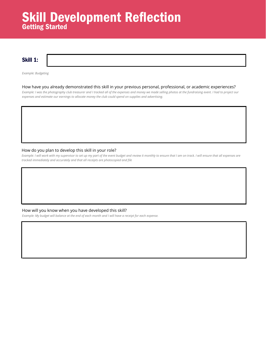#### How have you already demonstrated this skill in your previous personal, professional, or academic experiences?

*Example: I was the photography club treasurer and I tracked all of the expenses and money we made selling photos at the fundraising event. I had to project our expenses and estimate our earnings to allocate money the club could spend on supplies and advertising.*

Skill 1:

#### How will you know when you have developed this skill?

*Example: My budget will balance at the end of each month and I will have a receipt for each expense.*

### Skill Development Reflection Getting Started

*Example: Budgeting*

#### How do you plan to develop this skill in your role?

*Example: I will work with my supervisor to set up my part of the event budget and review it monthly to ensure that I am on track. I will ensure that all expenses are tracked immediately and accurately and that all receipts are photocopied and file*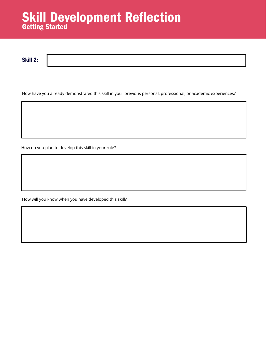Skill 2:

### Skill Development Reflection Getting Started

How have you already demonstrated this skill in your previous personal, professional, or academic experiences?

How will you know when you have developed this skill?

How do you plan to develop this skill in your role?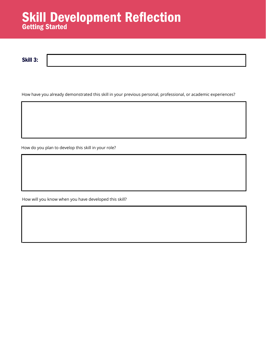How have you already demonstrated this skill in your previous personal, professional, or academic experiences?

Skill 3:

How will you know when you have developed this skill?

### Skill Development Reflection Getting Started

How do you plan to develop this skill in your role?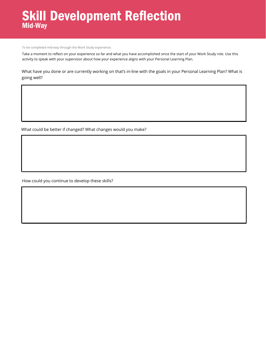What have you done or are currently working on that's in-line with the goals in your Personal Learning Plan? What is going well?

How could you continue to develop these skills?



What could be better if changed? What changes would you make?

To be completed mid-way through the Work Study experience.

### Skill Development Reflection Mid-Way

Take a moment to reflect on your experience so far and what you have accomplished since the start of your Work Study role. Use this activity to speak with your supervisor about how your experience aligns with your Personal Learning Plan.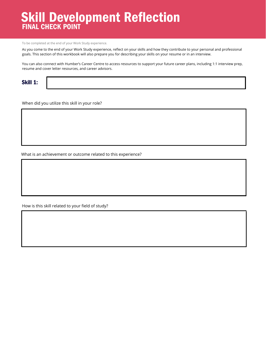When did you utilize this skill in your role?

How is this skill related to your field of study?

What is an achievement or outcome related to this experience?

To be completed at the end of your Work Study experience.

As you come to the end of your Work Study experience, reflect on your skills and how they contribute to your personal and professional goals. This section of this workbook will also prepare you for describing your skills on your resume or in an interview.

### Skill Development Reflection FINAL CHECK POINT

You can also connect with Humber's Career Centre to access resources to support your future career plans, including 1:1 interview prep, resume and cover letter resources, and career advisors.

#### Skill 1: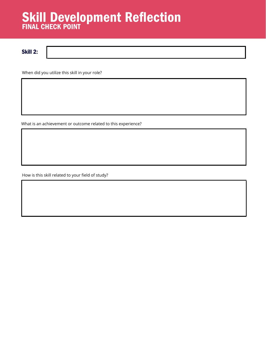When did you utilize this skill in your role?

How is this skill related to your field of study?

### Skill Development Reflection FINAL CHECK POINT

What is an achievement or outcome related to this experience?

Skill 2: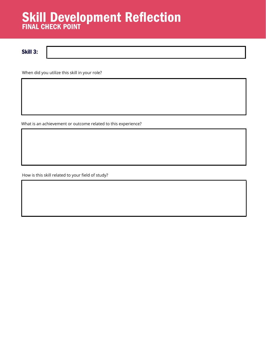When did you utilize this skill in your role?

How is this skill related to your field of study?

### Skill Development Reflection FINAL CHECK POINT

What is an achievement or outcome related to this experience?

Skill 3: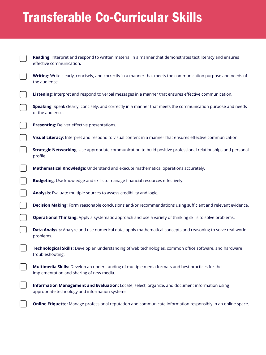**Reading**: Interpret and respond to written material in a manner that demonstrates text literacy and ensures effective communication.



**Writing**: Write clearly, concisely, and correctly in a manner that meets the communication purpose and needs of the audience.

**Listening**: Interpret and respond to verbal messages in a manner that ensures effective communication.



**Speaking**: Speak clearly, concisely, and correctly in a manner that meets the communication purpose and needs of the audience.



**Visual Literacy**: Interpret and respond to visual content in a manner that ensures effective communication.

**Strategic Networking**: Use appropriate communication to build positive professional relationships and personal profile.

**Mathematical Knowledge**: Understand and execute mathematical operations accurately.

**Budgeting**: Use knowledge and skills to manage financial resources effectively.

**Analysis**: Evaluate multiple sources to assess credibility and logic.



**Decision Making:** Form reasonable conclusions and/or recommendations using sufficient and relevant evidence.

**Operational Thinking:** Apply a systematic approach and use a variety of thinking skills to solve problems.

**Data Analysis:** Analyze and use numerical data; apply mathematical concepts and reasoning to solve real-world problems.

**Technological Skills:** Develop an understanding of web technologies, common office software, and hardware troubleshooting.

**Multimedia Skills:** Develop an understanding of multiple media formats and best practices for the implementation and sharing of new media.



**Information Management and Evaluation:** Locate, select, organize, and document information using appropriate technology and information systems.



**Online Etiquette:** Manage professional reputation and communicate information responsibly in an online space.

# Transferable Co-Curricular Skills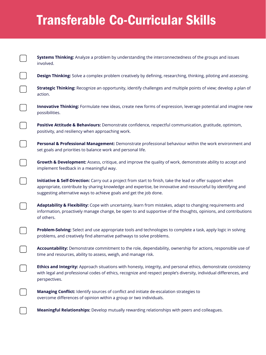# Transferable Co-Curricular Skills

**Systems Thinking:** Analyze a problem by understanding the interconnectedness of the groups and issues involved.

**Design Thinking:** Solve a complex problem creatively by defining, researching, thinking, piloting and assessing.

**Strategic Thinking:** Recognize an opportunity, identify challenges and multiple points of view; develop a plan of action.

**Innovative Thinking:** Formulate new ideas, create new forms of expression, leverage potential and imagine new possibilities.

**Positive Attitude & Behaviours:** Demonstrate confidence, respectful communication, gratitude, optimism, positivity, and resiliency when approaching work.

**Personal & Professional Management:** Demonstrate professional behaviour within the work environment and set goals and priorities to balance work and personal life.



**Growth & Development:** Assess, critique, and improve the quality of work, demonstrate ability to accept and implement feedback in a meaningful way.



**Initiative & Self-Direction:** Carry out a project from start to finish, take the lead or offer support when

appropriate, contribute by sharing knowledge and expertise, be innovative and resourceful by identifying and suggesting alternative ways to achieve goals and get the job done.

**Adaptability & Flexibility:** Cope with uncertainty, learn from mistakes, adapt to changing requirements and information, proactively manage change, be open to and supportive of the thoughts, opinions, and contributions of others.

**Problem-Solving:** Select and use appropriate tools and technologies to complete a task, apply logic in solving problems, and creatively find alternative pathways to solve problems.

**Accountability:** Demonstrate commitment to the role, dependability, ownership for actions, responsible use of time and resources, ability to assess, weigh, and manage risk.

**Ethics and Integrity:** Approach situations with honesty, integrity, and personal ethics, demonstrate consistency with legal and professional codes of ethics, recognize and respect people's diversity, individual differences, and perspectives.



**Managing Conflict:** Identify sources of conflict and initiate de-escalation strategies to overcome differences of opinion within a group or two individuals.



**Meaningful Relationships:** Develop mutually rewarding relationships with peers and colleagues.